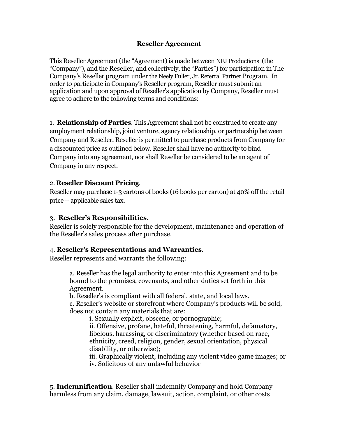#### **Reseller Agreement**

This Reseller Agreement (the "Agreement) is made between NFJ Productions (the "Company"), and the Reseller, and collectively, the "Parties") for participation in The Company's Reseller program under the Neely Fuller, Jr. Referral Partner Program. In order to participate in Company's Reseller program, Reseller must submit an application and upon approval of Reseller's application by Company, Reseller must agree to adhere to the following terms and conditions:

1. **Relationship of Parties**. This Agreement shall not be construed to create any employment relationship, joint venture, agency relationship, or partnership between Company and Reseller. Reseller is permitted to purchase products from Company for a discounted price as outlined below. Reseller shall have no authority to bind Company into any agreement, nor shall Reseller be considered to be an agent of Company in any respect.

#### 2. **Reseller Discount Pricing**.

Reseller may purchase 1-3 cartons of books (16 books per carton) at 40% off the retail price + applicable sales tax.

#### 3. **Reseller's Responsibilities.**

Reseller is solely responsible for the development, maintenance and operation of the Reseller's sales process after purchase.

# 4. **Reseller's Representations and Warranties**.

Reseller represents and warrants the following:

a. Reseller has the legal authority to enter into this Agreement and to be bound to the promises, covenants, and other duties set forth in this Agreement.

b. Reseller's is compliant with all federal, state, and local laws.

c. Reseller's website or storefront where Company's products will be sold, does not contain any materials that are:

i. Sexually explicit, obscene, or pornographic;

ii. Offensive, profane, hateful, threatening, harmful, defamatory, libelous, harassing, or discriminatory (whether based on race, ethnicity, creed, religion, gender, sexual orientation, physical disability, or otherwise);

iii. Graphically violent, including any violent video game images; or iv. Solicitous of any unlawful behavior

5. **Indemnification**. Reseller shall indemnify Company and hold Company harmless from any claim, damage, lawsuit, action, complaint, or other costs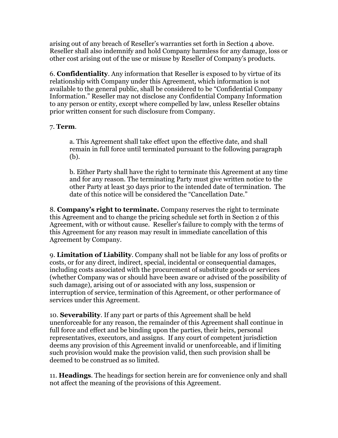arising out of any breach of Reseller's warranties set forth in Section 4 above. Reseller shall also indemnify and hold Company harmless for any damage, loss or other cost arising out of the use or misuse by Reseller of Company's products.

6. **Confidentiality**. Any information that Reseller is exposed to by virtue of its relationship with Company under this Agreement, which information is not available to the general public, shall be considered to be "Confidential Company Information." Reseller may not disclose any Confidential Company Information to any person or entity, except where compelled by law, unless Reseller obtains prior written consent for such disclosure from Company.

# 7. **Term**.

a. This Agreement shall take effect upon the effective date, and shall remain in full force until terminated pursuant to the following paragraph (b).

b. Either Party shall have the right to terminate this Agreement at any time and for any reason. The terminating Party must give written notice to the other Party at least 30 days prior to the intended date of termination. The date of this notice will be considered the "Cancellation Date."

8. **Company's right to terminate.** Company reserves the right to terminate this Agreement and to change the pricing schedule set forth in Section 2 of this Agreement, with or without cause. Reseller's failure to comply with the terms of this Agreement for any reason may result in immediate cancellation of this Agreement by Company.

9. **Limitation of Liability**. Company shall not be liable for any loss of profits or costs, or for any direct, indirect, special, incidental or consequential damages, including costs associated with the procurement of substitute goods or services (whether Company was or should have been aware or advised of the possibility of such damage), arising out of or associated with any loss, suspension or interruption of service, termination of this Agreement, or other performance of services under this Agreement.

10. **Severability**. If any part or parts of this Agreement shall be held unenforceable for any reason, the remainder of this Agreement shall continue in full force and effect and be binding upon the parties, their heirs, personal representatives, executors, and assigns. If any court of competent jurisdiction deems any provision of this Agreement invalid or unenforceable, and if limiting such provision would make the provision valid, then such provision shall be deemed to be construed as so limited.

11. **Headings**. The headings for section herein are for convenience only and shall not affect the meaning of the provisions of this Agreement.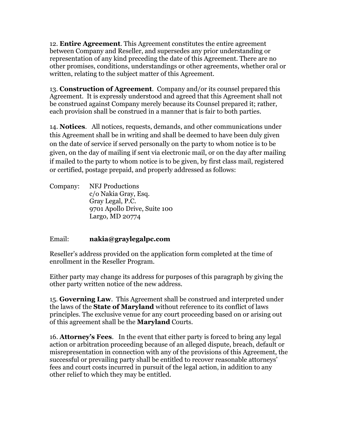12. **Entire Agreement**. This Agreement constitutes the entire agreement between Company and Reseller, and supersedes any prior understanding or representation of any kind preceding the date of this Agreement. There are no other promises, conditions, understandings or other agreements, whether oral or written, relating to the subject matter of this Agreement.

13. **Construction of Agreement**. Company and/or its counsel prepared this Agreement. It is expressly understood and agreed that this Agreement shall not be construed against Company merely because its Counsel prepared it; rather, each provision shall be construed in a manner that is fair to both parties.

14. **Notices**. All notices, requests, demands, and other communications under this Agreement shall be in writing and shall be deemed to have been duly given on the date of service if served personally on the party to whom notice is to be given, on the day of mailing if sent via electronic mail, or on the day after mailing if mailed to the party to whom notice is to be given, by first class mail, registered or certified, postage prepaid, and properly addressed as follows:

Company: NFJ Productions c/o Nakia Gray, Esq. Gray Legal, P.C. 9701 Apollo Drive, Suite 100 Largo, MD 20774

# Email: **nakia@graylegalpc.com**

Reseller's address provided on the application form completed at the time of enrollment in the Reseller Program.

Either party may change its address for purposes of this paragraph by giving the other party written notice of the new address.

15. **Governing Law**. This Agreement shall be construed and interpreted under the laws of the **State of Maryland** without reference to its conflict of laws principles. The exclusive venue for any court proceeding based on or arising out of this agreement shall be the **Maryland** Courts.

16. **Attorney's Fees**. In the event that either party is forced to bring any legal action or arbitration proceeding because of an alleged dispute, breach, default or misrepresentation in connection with any of the provisions of this Agreement, the successful or prevailing party shall be entitled to recover reasonable attorneys' fees and court costs incurred in pursuit of the legal action, in addition to any other relief to which they may be entitled.